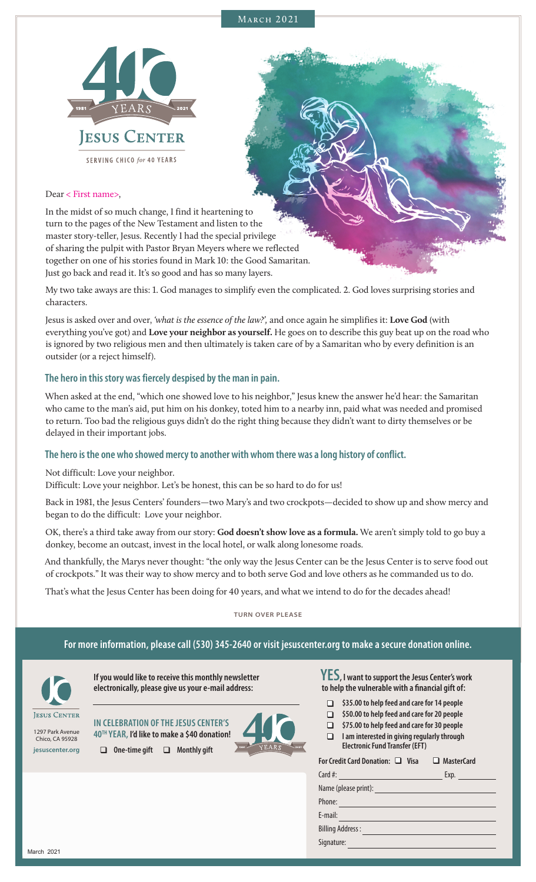



#### Dear < First name>,

In the midst of so much change, I find it heartening to turn to the pages of the New Testament and listen to the master story-teller, Jesus. Recently I had the special privilege of sharing the pulpit with Pastor Bryan Meyers where we reflected together on one of his stories found in Mark 10: the Good Samaritan. Just go back and read it. It's so good and has so many layers.

My two take aways are this: 1. God manages to simplify even the complicated. 2. God loves surprising stories and characters.

Jesus is asked over and over, *'what is the essence of the law?',* and once again he simplifies it: **Love God** (with everything you've got) and **Love your neighbor as yourself.** He goes on to describe this guy beat up on the road who is ignored by two religious men and then ultimately is taken care of by a Samaritan who by every definition is an outsider (or a reject himself).

#### **The hero in this story was fiercely despised by the man in pain.**

When asked at the end, "which one showed love to his neighbor," Jesus knew the answer he'd hear: the Samaritan who came to the man's aid, put him on his donkey, toted him to a nearby inn, paid what was needed and promised to return. Too bad the religious guys didn't do the right thing because they didn't want to dirty themselves or be delayed in their important jobs.

### **The hero is the one who showed mercy to another with whom there was a long history of conflict.**

Not difficult: Love your neighbor.

Difficult: Love your neighbor. Let's be honest, this can be so hard to do for us!

Back in 1981, the Jesus Centers' founders—two Mary's and two crockpots—decided to show up and show mercy and began to do the difficult: Love your neighbor.

OK, there's a third take away from our story: **God doesn't show love as a formula.** We aren't simply told to go buy a donkey, become an outcast, invest in the local hotel, or walk along lonesome roads.

And thankfully, the Marys never thought: "the only way the Jesus Center can be the Jesus Center is to serve food out of crockpots." It was their way to show mercy and to both serve God and love others as he commanded us to do.

That's what the Jesus Center has been doing for 40 years, and what we intend to do for the decades ahead!

### **TURN OVER PLEASE**

#### **For more information, please call (530) 345-2640 or visit jesuscenter.org to make a secure donation online.**



**If you would like to receive this monthly newsletter electronically, please give us your e-mail address:**

1297 Park Avenue Chico, CA 95928 **jesuscenter.org**

**IN CELEBRATION OF THE JESUS CENTER'S 40TH YEAR, I'd like to make a \$40 donation! Q** One-time gift **Q** Monthly gift



**YES, I want to support the Jesus Center's work to help the vulnerable with a financial gift of:**

- q **\$35.00 to help feed and care for 14 people**
- q **\$50.00 to help feed and care for 20 people**
- $\Box$  \$75.00 to help feed and care for 30 people
- q **I am interested in giving regularly through Electronic Fund Transfer (EFT)**

| For Credit Card Donation: □ Visa □ MasterCard               |      |  |
|-------------------------------------------------------------|------|--|
| Card #: $\qquad \qquad$                                     | Exp. |  |
|                                                             |      |  |
| Phone:<br><u> 1990 - Johann Barnett, fransk politiker (</u> |      |  |
| E-mail:                                                     |      |  |
| <b>Billing Address:</b>                                     |      |  |
| Signature:                                                  |      |  |